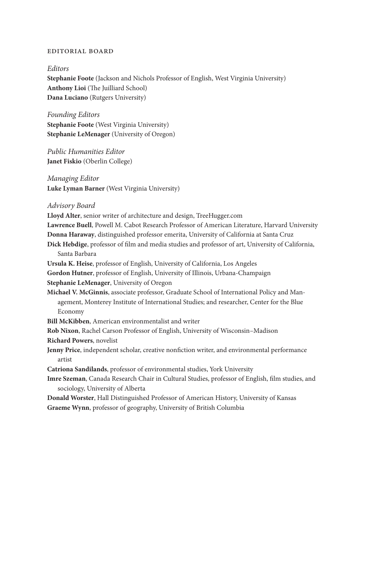## Editorial Board

## Editors

**Stephanie Foote** (Jackson and Nichols Professor of English, West Virginia University) **Anthony Lioi** (The Juilliard School) **Dana Luciano** (Rutgers University)

Founding Editors **Stephanie Foote** (West Virginia University) **Stephanie LeMenager** (University of Oregon)

Public Humanities Editor **Janet Fiskio** (Oberlin College)

Managing Editor **Luke Lyman Barner** (West Virginia University)

Advisory Board

Lloyd Alter, senior writer of architecture and design, TreeHugger.com **Lawrence Buell**, Powell M. Cabot Research Professor of American Literature, Harvard University **Donna Haraway**, distinguished professor emerita, University of California at Santa Cruz Dick Hebdige, professor of film and media studies and professor of art, University of California, Santa Barbara **Ursula K. Heise**, professor of English, University of California, Los Angeles **Gordon Hutner**, professor of English, University of Illinois, Urbana- Champaign **Stephanie LeMenager**, University of Oregon **Michael V. McGinnis**, associate professor, Graduate School of International Policy and Management, Monterey Institute of International Studies; and researcher, Center for the Blue Economy **Bill McKibben**, American environmentalist and writer **Rob Nixon**, Rachel Carson Professor of English, University of Wisconsin– Madison **Richard Powers**, novelist Jenny Price, independent scholar, creative nonfiction writer, and environmental performance artist **Catriona Sandilands**, professor of environmental studies, York University Imre Szeman, Canada Research Chair in Cultural Studies, professor of English, film studies, and

sociology, University of Alberta

**Donald Worster**, Hall Distinguished Professor of American History, University of Kansas **Graeme Wynn**, professor of geography, University of British Columbia